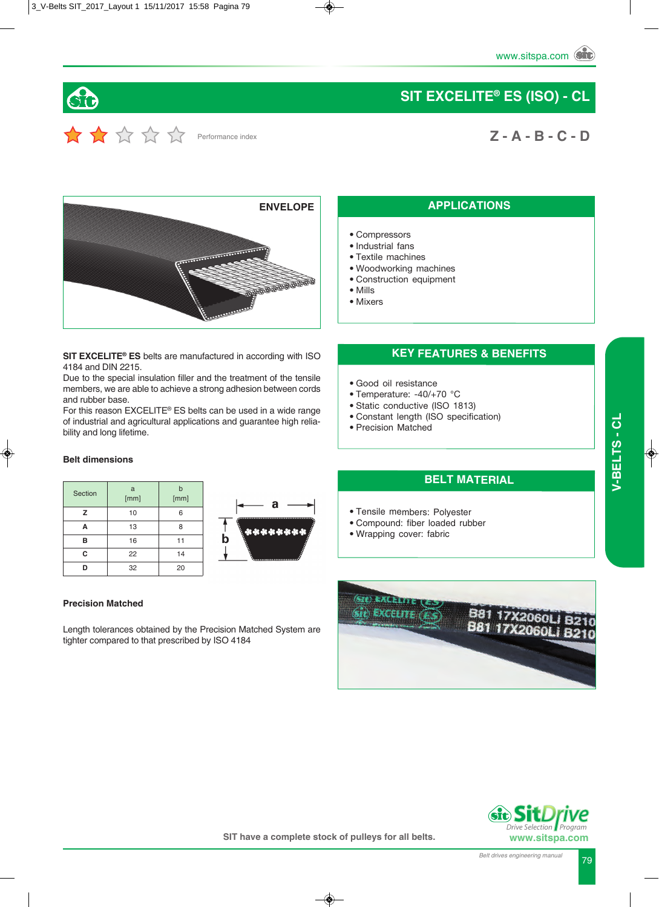

# $\sum$   $\sum$   $\sum$   $\sum$   $\sum$   $\sum$  Performance index

# **SIT EXCELITE® ES (ISO) - CL**

# **Z - A - B - C - D**



**SIT EXCELITE® ES** belts are manufactured in according with ISO 4184 and DIN 2215.

Due to the special insulation filler and the treatment of the tensile members, we are able to achieve a strong adhesion between cords and rubber base.

For this reason EXCELITE® ES belts can be used in a wide range of industrial and agricultural applications and guarantee high reliability and long lifetime.

#### **Belt dimensions**

| Section | a<br>[mm] | b<br>[mm] |
|---------|-----------|-----------|
| z       | 10        | 6         |
| A       | 13        | 8         |
| в       | 16        | 11        |
| C       | 22        | 14        |
|         | 32        | 20        |



#### **Precision Matched**

Length tolerances obtained by the Precision Matched System are tighter compared to that prescribed by ISO 4184

# sit) EXCELITE (E



#### **APPLICATIONS**

- Compressors
- Industrial fans
- Textile machines
- Woodworking machines
- Construction equipment
- Mills
- Mixers

#### **KEY FEATURES & BENEFITS**

- Good oil resistance
- Temperature: -40/+70 °C
- Static conductive (ISO 1813)
- Constant length (ISO specification)
- Precision Matched

#### **BELT MATERIAL**

- Tensile members: Polyester
- Compound: fiber loaded rubber
- Wrapping cover: fabric

**SIT have a complete stock of pulleys for all belts.**

 *Program*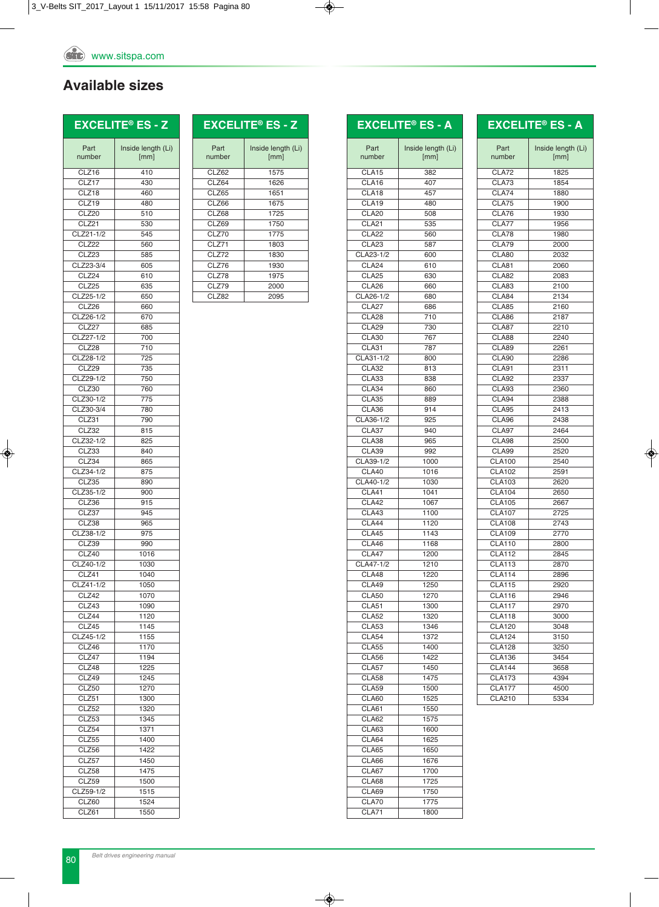## **Available sizes**

# **EXCELITE® ES - Z**

CLZ33 840 CLZ34 865 CLZ34-1/2 875 CLZ35 890 CLZ35-1/2 900 CLZ36 915 CLZ37 945 CLZ38 965<br>CLZ38-1/2 975

CLZ39 990 CLZ40 1016 CLZ40-1/2 1030 CLZ41 1040 CLZ41-1/2 1050 CLZ42 1070 CLZ43 1090 CLZ44 1120 CLZ45 1145 CLZ45-1/2 1155 CLZ46 1170 CLZ47 1194 CLZ48 1225 CLZ49 1245 CLZ50 1270 CLZ51 1300 CLZ52 1320 CLZ53 1345 CLZ54 1371 CLZ55 1400 CLZ56 1422 CLZ57 1450 CLZ58 1475 CLZ59 1500 CLZ59-1/2 1515 CLZ60 1524 CLZ61 1550

 $CLZ38-1/2$ 

|      | <b>EXCELITE<sup>®</sup> ES - Z</b> |
|------|------------------------------------|
| Part | Inside length (Li)                 |

| Part<br>number    | Inside length (Li)<br>[mm] | Part<br>number | Insi |
|-------------------|----------------------------|----------------|------|
| CLZ16             | 410                        | CLZ62          |      |
| CLZ17             | 430                        | CLZ64          |      |
| CLZ18             | 460                        | CLZ65          |      |
| CLZ19             | 480                        | CLZ66          |      |
| CLZ20             | 510                        | CLZ68          |      |
| CLZ21             | 530                        | CLZ69          |      |
| CLZ21-1/2         | 545                        | CLZ70          |      |
| CLZ22             | 560                        | CLZ71          |      |
| CLZ <sub>23</sub> | 585                        | CLZ72          |      |
| CLZ23-3/4         | 605                        | CLZ76          |      |
| CLZ24             | 610                        | CLZ78          |      |
| CLZ25             | 635                        | CLZ79          |      |
| CLZ25-1/2         | 650                        | CLZ82          |      |
| CLZ26             | 660                        |                |      |
| CLZ26-1/2         | 670                        |                |      |
| CLZ27             | 685                        |                |      |
| CLZ27-1/2         | 700                        |                |      |
| CLZ28             | 710                        |                |      |
| CLZ28-1/2         | 725                        |                |      |
| CLZ29             | 735                        |                |      |
| CLZ29-1/2         | 750                        |                |      |
| CLZ30             | 760                        |                |      |
| CLZ30-1/2         | 775                        |                |      |
| CLZ30-3/4         | 780                        |                |      |
| CLZ31             | 790                        |                |      |
| CLZ32             | 815                        |                |      |
| CLZ32-1/2         | 825                        |                |      |

|                                | <b>EXCELITE® ES - A</b> |
|--------------------------------|-------------------------|
| Part                           | Inside length (Li)      |
| number                         | [mm]                    |
| CLA <sub>15</sub>              | 382                     |
| CLA16                          | 407                     |
| CLA18<br>CLA <sub>19</sub>     | 457<br>480              |
| CLA20                          | 508                     |
| CLA21                          | 535                     |
| CLA22                          | 560                     |
| CLA23                          | 587                     |
| CLA23-1/2<br>CLA <sub>24</sub> | 600<br>610              |
| CLA <sub>25</sub>              | 630                     |
| CLA26                          | 660                     |
| CLA26-1/2                      | 680                     |
| CLA27                          | 686                     |
| CLA28<br><b>CLA29</b>          | 710<br>730              |
| CLA30                          | 767                     |
| CLA31                          | 787                     |
| CLA31-1/2                      | 800                     |
| <b>CLA32</b>                   | 813                     |
| CLA33<br>CLA34                 | 838<br>860              |
| CLA35                          | 889                     |
| CLA36                          | 914                     |
| CLA36-1/2                      | 925                     |
| CLA37                          | 940                     |
| CLA38<br>CLA39                 | 965<br>992              |
| CLA39-1/2                      | 1000                    |
| CLA40                          | 1016                    |
| CLA40-1/2                      | 1030                    |
| CLA41                          | 1041                    |
| <b>CLA42</b><br>CLA43          | 1067<br>1100            |
| CLA44                          | 1120                    |
| CLA45                          | 1143                    |
| CLA46                          | 1168                    |
| CLA47                          | 1200                    |
| CLA47-1/2                      | 1210                    |
| CLA48<br><b>CLA49</b>          | 1220<br>1250            |
| <b>CLA50</b>                   | 1270                    |
| CLA51                          | 1300                    |
| <b>CLA52</b>                   | 1320                    |
| CLA53<br>CLA54                 | 1346<br>1372            |
| <b>CLA55</b>                   | 1400                    |
| <b>CLA56</b>                   | 1422                    |
| CLA57                          | 1450                    |
| <b>CLA58</b>                   | 1475                    |
| <b>CLA59</b>                   | 1500                    |
| CLA60<br>CLA61                 | 1525<br>1550            |
| CLA62                          | 1575                    |
| CLA63                          | 1600                    |
| CLA64                          | 1625                    |
| CLA65                          | 1650                    |
| CLA66<br>CLA67                 | 1676<br>1700            |
| CLA68                          | 1725                    |
| CLA69                          | 1750                    |
| CLA70                          | 1775                    |
| CLA71                          | 1800                    |

|               | <b>EXCELITE® ES - A</b>    |
|---------------|----------------------------|
| Part          |                            |
| number        | Inside length (Li)<br>[mm] |
| CLA72         | 1825                       |
| CLA73         | 1854                       |
| CLA74         | 1880                       |
| CLA75         | 1900                       |
| CLA76         | 1930                       |
| CLA77         | 1956                       |
| CLA78         | 1980                       |
| CLA79         | 2000                       |
| CLA80         | 2032                       |
| CLA81         | 2060                       |
| <b>CLA82</b>  | 2083                       |
| CLA83         | 2100                       |
| CLA84         | 2134                       |
| CLA85         | 2160                       |
| CLA86         | 2187                       |
| CLA87         | 2210                       |
| CLA88         | 2240                       |
| CLA89         | 2261                       |
| CLA90         | 2286                       |
| CLA91         | 2311                       |
| CLA92         | 2337                       |
| CLA93         | 2360                       |
| CLA94         | 2388                       |
| CLA95         | 2413                       |
| CLA96         | 2438                       |
| CLA97         | 2464                       |
| CLA98         | 2500                       |
| CLA99         | 2520                       |
| <b>CLA100</b> | 2540                       |
| <b>CLA102</b> | 2591                       |
| <b>CLA103</b> | 2620                       |
| <b>CLA104</b> | 2650                       |
| <b>CLA105</b> | 2667                       |
| <b>CLA107</b> | 2725                       |
| <b>CLA108</b> | 2743                       |
| <b>CLA109</b> | 2770                       |
| <b>CLA110</b> | 2800                       |
| <b>CLA112</b> | 2845                       |
| <b>CLA113</b> | 2870                       |
| <b>CLA114</b> | 2896                       |
| <b>CLA115</b> | 2920                       |
| <b>CLA116</b> | 2946                       |
| <b>CLA117</b> | 2970                       |
| <b>CLA118</b> | 3000                       |
| <b>CLA120</b> | 3048                       |
| <b>CLA124</b> | 3150                       |
| <b>CLA128</b> | 3250                       |
| <b>CLA136</b> | 3454                       |
| <b>CLA144</b> | 3658                       |
| <b>CLA173</b> | 4394                       |
| <b>CLA177</b> | 4500                       |
| <b>CLA210</b> | 5334                       |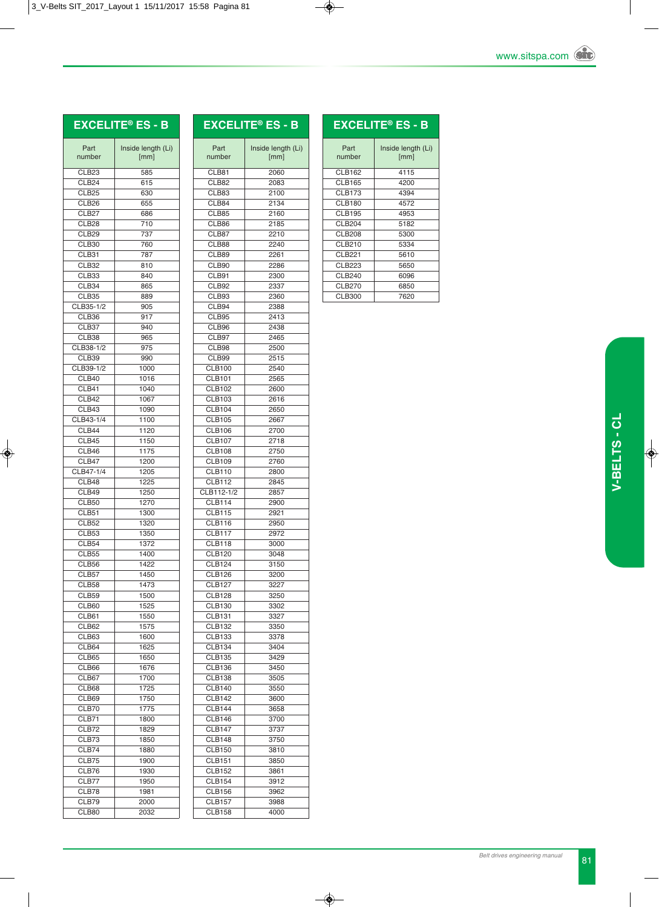# **EXCELITE® ES - B**

| <b>EXCELITE® ES - B</b> |
|-------------------------|
|                         |

| Part              | Inside length (Li) |
|-------------------|--------------------|
| number            | [mm]               |
| CLB <sub>23</sub> | 585                |
| CLB <sub>24</sub> | 615                |
| CLB <sub>25</sub> | 630                |
| CLB <sub>26</sub> | 655                |
| CLB <sub>27</sub> | 686                |
| CLB <sub>28</sub> | 710                |
| CLB <sub>29</sub> | 737                |
| CLB30<br>CLB31    | 760<br>787         |
| CLB32             | 810                |
| CLB33             | 840                |
| CLB34             | 865                |
| CLB35             | 889                |
| CLB35-1/2         | 905                |
| CLB36             | 917                |
| CLB37             | 940                |
| CLB38             | 965                |
| CLB38-1/2         | 975                |
| CLB39             | 990                |
| CLB39-1/2         | 1000               |
| CLB40             | 1016               |
| CLB41             | 1040<br>1067       |
| CLB42<br>CLB43    | 1090               |
| CLB43-1/4         | 1100               |
| CLB44             | 1120               |
| CLB45             | 1150               |
| CLB46             | 1175               |
| CLB47             | 1200               |
| CLB47-1/4         | 1205               |
| CLB48             | 1225               |
| CLB49             | 1250               |
| CLB50             | 1270               |
| CLB51             | 1300               |
| CLB52             | 1320               |
| CLB53             | 1350               |
| CLB54             | 1372               |
| <b>CLB55</b>      | 1400               |
| CLB56<br>CLB57    | 1422<br>1450       |
| CLB58             | 1473               |
| CLB59             | 1500               |
| CLB60             | 1525               |
| CLB61             | 1550               |
| CLB62             | 1575               |
| CLB63             | 1600               |
| CLB64             | 1625               |
| CLB65             | 1650               |
| CLB66             | 1676               |
| CLB67             | 1700               |
| CLB68             | 1725               |
| CLB69             | 1750               |
| CLB70             | 1775               |
| CLB71<br>CLB72    | 1800               |
| CLB73             | 1829<br>1850       |
| CLB74             | 1880               |
| CLB75             | 1900               |
| CLB76             | 1930               |
| CLB77             | 1950               |
| CLB78             | 1981               |
| CLB79             | 2000               |
| CLB80             | 2032               |
|                   |                    |

| Part<br>number | Inside length (Li)<br>[mm] |
|----------------|----------------------------|
| CLB81          | 2060                       |
| CLB82          | 2083                       |
| CLB83          | 2100                       |
| CLB84          | 2134                       |
| CLB85          | 2160                       |
| CLB86          | 2185                       |
| CLB87          | 2210                       |
| CLB88          | 2240                       |
|                |                            |
| CLB89          | 2261                       |
| CLB90          | 2286                       |
| CLB91          | 2300                       |
| CLB92          | 2337                       |
| CLB93          | 2360                       |
| CLB94          | 2388                       |
| CLB95          | 2413                       |
| CLB96          | 2438                       |
| CLB97          | 2465                       |
| CLB98          | 2500                       |
| CLB99          | 2515                       |
|                |                            |
| <b>CLB100</b>  | 2540                       |
| <b>CLB101</b>  | 2565                       |
| <b>CLB102</b>  | 2600                       |
| <b>CLB103</b>  | 2616                       |
| <b>CLB104</b>  | 2650                       |
| <b>CLB105</b>  | 2667                       |
| <b>CLB106</b>  | 2700                       |
| <b>CLB107</b>  | 2718                       |
| <b>CLB108</b>  | 2750                       |
| <b>CLB109</b>  | 2760                       |
|                |                            |
| <b>CLB110</b>  | 2800                       |
| <b>CLB112</b>  | 2845                       |
| CLB112-1/2     | 2857                       |
| <b>CLB114</b>  | 2900                       |
| <b>CLB115</b>  | 2921                       |
| <b>CLB116</b>  | 2950                       |
| <b>CLB117</b>  | 2972                       |
| <b>CLB118</b>  | 3000                       |
| <b>CLB120</b>  | 3048                       |
| <b>CLB124</b>  | 3150                       |
|                |                            |
| <b>CLB126</b>  | 3200                       |
| CLB127         | 3227                       |
| <b>CLB128</b>  | 3250                       |
| <b>CLB130</b>  | 3302                       |
| <b>CLB131</b>  | 3327                       |
| <b>CLB132</b>  | 3350                       |
| <b>CLB133</b>  | 3378                       |
| <b>CLB134</b>  | 3404                       |
| <b>CLB135</b>  | 3429                       |
| <b>CLB136</b>  | 3450                       |
|                |                            |
| <b>CLB138</b>  | 3505                       |
| <b>CLB140</b>  | 3550                       |
| <b>CLB142</b>  | 3600                       |
| <b>CLB144</b>  | 3658                       |
| <b>CLB146</b>  | 3700                       |
| <b>CLB147</b>  | 3737                       |
| <b>CLB148</b>  | 3750                       |
| <b>CLB150</b>  | 3810                       |
| <b>CLB151</b>  |                            |
|                | 3850                       |
| <b>CLB152</b>  | 3861                       |
| <b>CLB154</b>  | 3912                       |
| <b>CLB156</b>  | 3962                       |
| <b>CLB157</b>  | 3988                       |
| <b>CLB158</b>  | 4000                       |
|                |                            |

|                | <b>EXCELITE® ES - B</b>    |
|----------------|----------------------------|
| Part<br>number | Inside length (Li)<br>[mm] |
| <b>CLB162</b>  | 4115                       |
| <b>CLB165</b>  | 4200                       |
| <b>CLB173</b>  | 4394                       |
| <b>CLB180</b>  | 4572                       |
| <b>CLB195</b>  | 4953                       |
| <b>CLB204</b>  | 5182                       |
| <b>CLB208</b>  | 5300                       |
| CLB210         | 5334                       |
| <b>CLB221</b>  | 5610                       |
| <b>CLB223</b>  | 5650                       |
| <b>CLB240</b>  | 6096                       |
| <b>CLB270</b>  | 6850                       |
| <b>CLB300</b>  | 7620                       |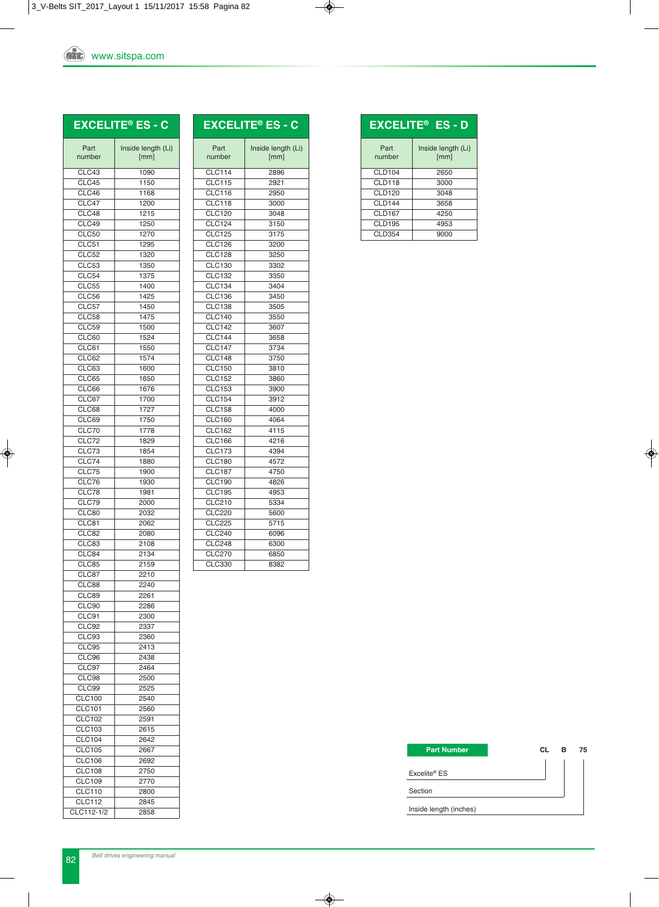|                                | <b>EXCELITE® ES - C</b>    |
|--------------------------------|----------------------------|
| Part<br>number                 | Inside length (Li)<br>[mm] |
| CLC43                          | 1090                       |
| CLC45                          | 1150                       |
| CLC46                          | 1168                       |
| CLC47                          | 1200                       |
| CLC48                          | 1215                       |
| CLC49                          | 1250                       |
| <b>CLC50</b><br>CLC51          | 1270<br>1295               |
| CLC52                          | 1320                       |
| CLC53                          | 1350                       |
| CLC54                          | 1375                       |
| <b>CLC55</b>                   | 1400                       |
| CLC56                          | 1425                       |
| CLC57                          | 1450                       |
| CLC58                          | 1475                       |
| CLC59<br>CLC60                 | 1500                       |
| CLC61                          | 1524<br>1550               |
| CLC62                          | 1574                       |
| CLC63                          | 1600                       |
| CLC65                          | 1650                       |
| CLC66                          | 1676                       |
| CLC67                          | 1700                       |
| CLC68                          | 1727                       |
| CLC69                          | 1750                       |
| CLC70                          | 1778                       |
| CLC72<br>CLC73                 | 1829<br>1854               |
| CLC74                          | 1880                       |
| CLC75                          | 1900                       |
| CLC76                          | 1930                       |
| CLC78                          | 1981                       |
| CLC79                          | 2000                       |
| CLC80                          | 2032                       |
| CLC81                          | 2062                       |
| CLC82                          | 2080                       |
| CLC83<br>CLC84                 | 2108<br>2134               |
| CLC85                          | 2159                       |
| CLC87                          | 2210                       |
| CLC88                          | 2240                       |
| CLC89                          | 2261                       |
| CLC90                          | 2286                       |
| CLC91                          | 2300                       |
| CLC92                          | 2337                       |
| CLC93<br>CLC95                 | 2360                       |
| CLC96                          | 2413<br>2438               |
| CLC97                          | 2464                       |
| CLC98                          | 2500                       |
| CLC99                          | 2525                       |
| <b>CLC100</b>                  | 2540                       |
| <b>CLC101</b>                  | 2560                       |
| <b>CLC102</b>                  | 2591                       |
| <b>CLC103</b>                  | 2615                       |
| <b>CLC104</b>                  | 2642                       |
| <b>CLC105</b>                  | 2667                       |
| <b>CLC106</b><br><b>CLC108</b> | 2692<br>2750               |
| <b>CLC109</b>                  | 2770                       |
| <b>CLC110</b>                  | 2800                       |
|                                |                            |

www.sitspa.com

|                | <b>EXCELITE® ES - C</b>    |
|----------------|----------------------------|
| Part<br>number | Inside length (Li)<br>[mm] |
| <b>CLC114</b>  | 2896                       |
| <b>CLC115</b>  | 2921                       |
| <b>CLC116</b>  | 2950                       |
| <b>CLC118</b>  | 3000                       |
| <b>CLC120</b>  | 3048                       |
| CLC124         | 3150                       |
| <b>CLC125</b>  | 3175                       |
| <b>CLC126</b>  | 3200                       |
| CLC128         | 3250                       |
| CLC130         | 3302                       |
| <b>CLC132</b>  | 3350                       |
| <b>CLC134</b>  | 3404                       |
| <b>CLC136</b>  | 3450                       |
| <b>CLC138</b>  | 3505                       |
| <b>CLC140</b>  | 3550                       |
| <b>CLC142</b>  | 3607                       |
| <b>CLC144</b>  | 3658                       |
| <b>CLC147</b>  | 3734                       |
| <b>CLC148</b>  | 3750                       |
| <b>CLC150</b>  | 3810                       |
| <b>CLC152</b>  | 3860                       |
| <b>CLC153</b>  | 3900                       |
| <b>CLC154</b>  | 3912                       |
| <b>CLC158</b>  | 4000                       |
| <b>CLC160</b>  | 4064                       |
| CLC162         | 4115                       |
| <b>CLC166</b>  | 4216                       |
| <b>CLC173</b>  | 4394                       |
| <b>CLC180</b>  | 4572                       |
| <b>CLC187</b>  | 4750                       |
| <b>CLC190</b>  | 4826                       |
| <b>CLC195</b>  | 4953                       |
| <b>CLC210</b>  | 5334                       |
| <b>CLC220</b>  | 5600                       |
| <b>CLC225</b>  | 5715                       |
| CLC240         | 6096                       |
| <b>CLC248</b>  | 6300                       |
| <b>CLC270</b>  | 6850                       |
| <b>CLC330</b>  | 8382                       |

|                | <b>EXCELITE<sup>®</sup> ES - D</b> |
|----------------|------------------------------------|
| Part<br>number | Inside length (Li)<br>[mm]         |
| CLD104         | 2650                               |
| CLD118         | 3000                               |
| <b>CLD120</b>  | 3048                               |
| CLD144         | 3658                               |
| CLD167         | 4250                               |
| <b>CLD195</b>  | 4953                               |
| <b>CLD354</b>  | 9000                               |

| <b>Part Number</b>       | CL | в | 75 |
|--------------------------|----|---|----|
|                          |    |   |    |
| Excelite <sup>®</sup> ES |    |   |    |
| Section                  |    |   |    |
| Inside length (inches)   |    |   |    |

CLC112 2845 CLC112-1/2 2858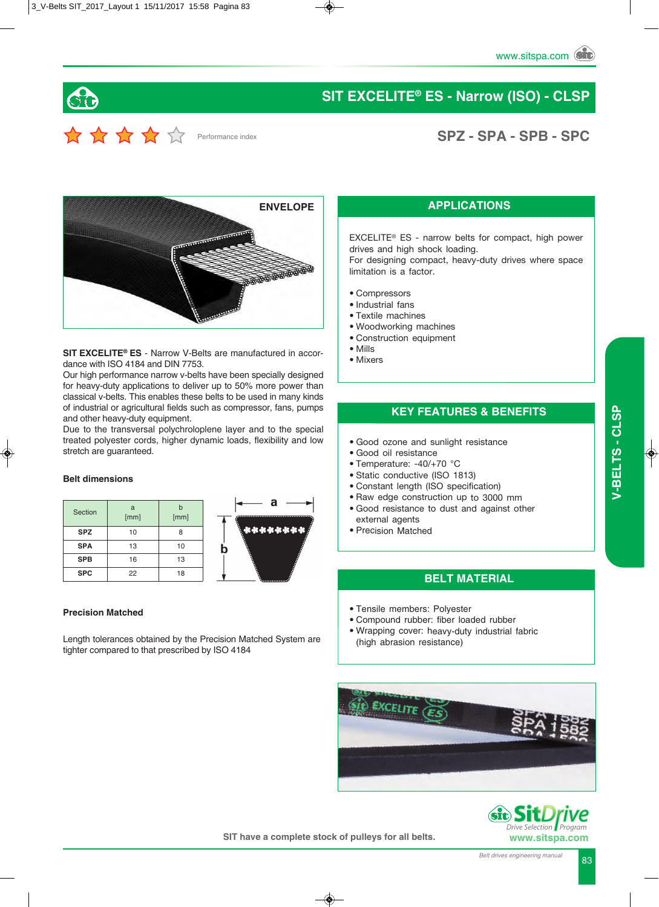

# **SIT EXCELITE® ES - Narrow (ISO) - CLSP**

# Performance index

# **SPZ - SPA - SPB - SPC**



**SIT EXCELITE® ES** - Narrow V-Belts are manufactured in accordance with ISO 4184 and DIN 7753.

Our high performance narrow v-belts have been specially designed for heavy-duty applications to deliver up to 50% more power than classical v-belts. This enables these belts to be used in many kinds of industrial or agricultural fields such as compressor, fans, pumps and other heavy-duty equipment.

Due to the transversal polychroloplene layer and to the special treated polyester cords, higher dynamic loads, flexibility and low stretch are guaranteed.

#### **Belt dimensions**

| Section    | a<br>[mm] | h<br>[mm] |
|------------|-----------|-----------|
| <b>SPZ</b> | 10        | 8         |
| <b>SPA</b> | 13        | 10        |
| <b>SPB</b> | 16        | 13        |
| <b>SPC</b> | 22        | 18        |



#### **Precision Matched**

Length tolerances obtained by the Precision Matched System are tighter compared to that prescribed by ISO 4184

#### **APPLICATIONS**

EXCELITE® ES - narrow belts for compact, high power drives and high shock loading.

For designing compact, heavy-duty drives where space limitation is a factor.

- Compressors
- Industrial fans
- Textile machines
- Woodworking machines
- Construction equipment
- Mills
- Mixers

#### **KEY FEATURES & BENEFITS**

- Good ozone and sunlight resistance
- Good oil resistance
- Temperature: -40/+70 °C
- Static conductive (ISO 1813)
- Constant length (ISO specification)
- Raw edge construction up to 3000 mm
- Good resistance to dust and against other external agents
- Precision Matched

#### **BELT MATERIAL**

- Tensile members: Polyester
- Compound rubber: fiber loaded rubber
- Wrapping cover: heavy-duty industrial fabric (high abrasion resistance)





 *Program*

**SIT have a complete stock of pulleys for all belts.**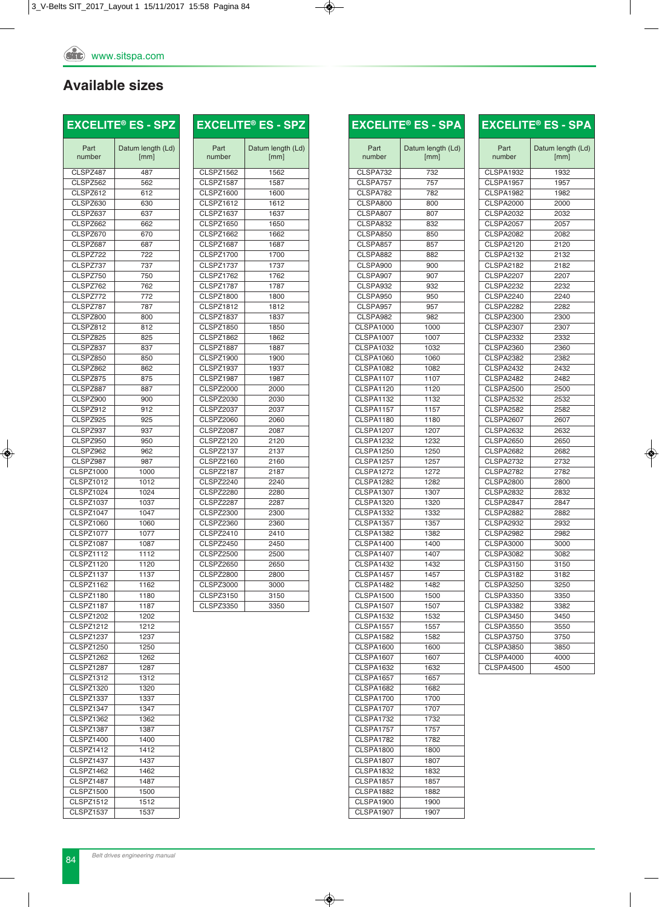## **Available sizes**

| Avaliable sizes        |                           |
|------------------------|---------------------------|
|                        | <b>EXCELITE® ES - SPZ</b> |
| Part<br>number         | Datum length (Ld)<br>[mm] |
| CLSPZ487               | 487                       |
| CLSPZ562               | 562                       |
| CLSPZ612               | 612                       |
| CLSPZ630<br>CLSPZ637   | 630                       |
| CLSPZ662               | 637<br>662                |
| CLSPZ670               | 670                       |
| CLSPZ687               | 687                       |
| CLSPZ722               | 722                       |
| CLSPZ737               | 737                       |
| CLSPZ750               | 750                       |
| CLSPZ762               | 762                       |
| CLSPZ772               | 772                       |
| CLSPZ787               | 787                       |
| CLSPZ800               | 800                       |
| CLSPZ812               | 812                       |
| CLSPZ825               | 825                       |
| CLSPZ837               | 837                       |
| CLSPZ850               | 850                       |
| CLSPZ862<br>CLSPZ875   | 862                       |
| CLSPZ887               | 875                       |
| CLSPZ900               | 887<br>900                |
| CLSPZ912               | 912                       |
| CLSPZ925               | 925                       |
| CLSPZ937               | 937                       |
| CLSPZ950               | 950                       |
| CLSPZ962               | 962                       |
| CLSPZ987               | 987                       |
| CLSPZ1000              | 1000                      |
| <b>CLSPZ1012</b>       | 1012                      |
| CLSPZ1024              | 1024                      |
| <b>CLSPZ1037</b>       | 1037                      |
| CLSPZ1047              | 1047                      |
| <b>CLSPZ1060</b>       | 1060                      |
| <b>CLSPZ1077</b>       | 1077                      |
| CLSPZ1087              | 1087                      |
| CLSPZ1112              | 1112                      |
| CLSPZ1120              | 1120                      |
| CLSPZ1137              | 1137                      |
| CLSPZ1162<br>CLSPZ1180 | 1162<br>1180              |
| CLSPZ1187              | 1187                      |
| CLSPZ1202              | 1202                      |
| <b>CLSPZ1212</b>       | 1212                      |
| CLSPZ1237              | 1237                      |
| <b>CLSPZ1250</b>       | 1250                      |
| CLSPZ1262              | 1262                      |
| CLSPZ1287              | 1287                      |
| <b>CLSPZ1312</b>       | 1312                      |
| CLSPZ1320              | 1320                      |
| CLSPZ1337              | 1337                      |

|                  | <b>EXCELITE® ES - SPZ</b> |
|------------------|---------------------------|
| Part<br>number   | Datum length (Ld)<br>[mm] |
| CLSPZ1562        | 1562                      |
| CLSPZ1587        | 1587                      |
| <b>CLSPZ1600</b> | 1600                      |
| <b>CLSPZ1612</b> | 1612                      |
| CLSPZ1637        | 1637                      |
| <b>CLSPZ1650</b> | 1650                      |
| CLSPZ1662        | 1662                      |
| CLSPZ1687        | 1687                      |
| CLSPZ1700        | 1700                      |
| CLSPZ1737        | 1737                      |
| CLSPZ1762        | 1762                      |
| CLSPZ1787        | 1787                      |
| <b>CLSPZ1800</b> | 1800                      |
| CLSPZ1812        | 1812                      |
| CLSPZ1837        | 1837                      |
| <b>CLSPZ1850</b> | 1850                      |
| CLSPZ1862        | 1862                      |
| CLSPZ1887        | 1887                      |
| CLSPZ1900        | 1900                      |
| CLSPZ1937        | 1937                      |
| CLSPZ1987        | 1987                      |
| <b>CLSPZ2000</b> | 2000                      |
| <b>CLSPZ2030</b> | 2030                      |
| <b>CLSPZ2037</b> | 2037                      |
| <b>CLSPZ2060</b> | 2060                      |
| CLSPZ2087        | 2087                      |
| <b>CLSPZ2120</b> | 2120                      |
| CLSPZ2137        | 2137                      |
| CLSPZ2160        | 2160                      |
| <b>CLSPZ2187</b> | 2187                      |
| CLSPZ2240        | 2240                      |
| CLSPZ2280        | 2280                      |
| CLSPZ2287        | 2287                      |
| <b>CLSPZ2300</b> | 2300                      |
| <b>CLSPZ2360</b> | 2360                      |
| CLSPZ2410        | 2410                      |
| CLSPZ2450        | 2450                      |
| <b>CLSPZ2500</b> | 2500                      |
| CLSPZ2650        | 2650                      |
| CLSPZ2800        | 2800                      |
| <b>CLSPZ3000</b> | 3000                      |
| <b>CLSPZ3150</b> | 3150                      |
|                  | 3350                      |
| <b>CLSPZ3350</b> |                           |

|                        | <b>EXCELITE® ES - SPA</b> |
|------------------------|---------------------------|
| Part                   | Datum length (Ld)         |
| number                 | [mm]                      |
| CLSPA732               | 732                       |
| CLSPA757               | 757                       |
| CLSPA782               | 782                       |
| CLSPA800               | 800                       |
| CLSPA807               | 807                       |
| CLSPA832               | 832                       |
| CLSPA850               | 850                       |
| CLSPA857               | 857                       |
| CLSPA882<br>CLSPA900   | 882                       |
|                        | 900                       |
| CLSPA907<br>CLSPA932   | 907<br>932                |
| CLSPA950               | 950                       |
| CLSPA957               | 957                       |
| CLSPA982               | 982                       |
| <b>CLSPA1000</b>       | 1000                      |
| <b>CLSPA1007</b>       | 1007                      |
| <b>CLSPA1032</b>       | 1032                      |
| <b>CLSPA1060</b>       | 1060                      |
| <b>CLSPA1082</b>       | 1082                      |
| CLSPA1107              | 1107                      |
| CLSPA1120              | 1120                      |
| CLSPA1132              | 1132                      |
| CLSPA1157              | 1157                      |
| CLSPA1180              | 1180                      |
| <b>CLSPA1207</b>       | 1207                      |
| <b>CLSPA1232</b>       | 1232                      |
| <b>CLSPA1250</b>       | 1250                      |
| CLSPA1257              | 1257                      |
| CLSPA1272              | 1272                      |
| CLSPA1282              | 1282                      |
| <b>CLSPA1307</b>       | 1307                      |
| CLSPA1320              | 1320                      |
| <b>CLSPA1332</b>       | 1332                      |
| <b>CLSPA1357</b>       | 1357                      |
| <b>CLSPA1382</b>       | 1382                      |
| CLSPA1400              | 1400                      |
| CLSPA1407<br>CLSPA1432 | 1407<br>1432              |
| CLSPA1457              |                           |
| CLSPA1482              | 1457<br>1482              |
| CLSPA1500              | 1500                      |
| <b>CLSPA1507</b>       | 1507                      |
| <b>CLSPA1532</b>       | 1532                      |
| CLSPA1557              | 1557                      |
| CLSPA1582              | 1582                      |
| <b>CLSPA1600</b>       | 1600                      |
| <b>CLSPA1607</b>       | 1607                      |
| CLSPA1632              | 1632                      |
| CLSPA1657              | 1657                      |
| <b>CLSPA1682</b>       | 1682                      |
| CLSPA1700              | 1700                      |
| CLSPA1707              | 1707                      |
| CLSPA1732              | 1732                      |
| CLSPA1757              | 1757                      |
| CLSPA1782              | 1782                      |
| CLSPA1800              | 1800                      |
| CLSPA1807              | 1807                      |
| <b>CLSPA1832</b>       | 1832                      |
| CLSPA1857              | 1857                      |
| CLSPA1882              | 1882                      |
| CLSPA1900              | 1900                      |
| <b>CLSPA1907</b>       | 1907                      |

| Part             | Datum length (Ld) |
|------------------|-------------------|
| number           | [mm]              |
| CLSPA1932        | 1932              |
| CLSPA1957        | 1957              |
| CLSPA1982        | 1982              |
| <b>CLSPA2000</b> | 2000              |
| <b>CLSPA2032</b> | 2032              |
| <b>CLSPA2057</b> | 2057              |
| <b>CLSPA2082</b> | 2082              |
| <b>CLSPA2120</b> | 2120              |
| <b>CLSPA2132</b> | 2132              |
| <b>CLSPA2182</b> | 2182              |
| <b>CLSPA2207</b> | 2207              |
| <b>CLSPA2232</b> | 2232              |
| <b>CLSPA2240</b> | 2240              |
| CLSPA2282        | 2282              |
| <b>CLSPA2300</b> | 2300              |
| <b>CLSPA2307</b> | 2307              |
| <b>CLSPA2332</b> | 2332              |
| <b>CLSPA2360</b> | 2360              |
| CLSPA2382        | 2382              |
| CLSPA2432        | 2432              |
| CLSPA2482        | 2482              |
| <b>CLSPA2500</b> | 2500              |
| <b>CLSPA2532</b> | 2532              |
| CLSPA2582        | 2582              |
| <b>CLSPA2607</b> | 2607              |
| <b>CLSPA2632</b> | 2632              |
| <b>CLSPA2650</b> | 2650              |
| <b>CLSPA2682</b> | 2682              |
| CLSPA2732        | 2732              |
| <b>CLSPA2782</b> | 2782              |
| <b>CLSPA2800</b> | 2800              |
| <b>CLSPA2832</b> | 2832              |
| CLSPA2847        | 2847              |
| <b>CLSPA2882</b> | 2882              |
| <b>CLSPA2932</b> | 2932              |
| <b>CLSPA2982</b> | 2982              |
| <b>CLSPA3000</b> | 3000              |
| <b>CLSPA3082</b> | 3082              |
| <b>CLSPA3150</b> | 3150              |
| <b>CLSPA3182</b> | 3182              |
| <b>CLSPA3250</b> | 3250              |
| <b>CLSPA3350</b> | 3350              |
| <b>CLSPA3382</b> | 3382              |
| <b>CLSPA3450</b> | 3450              |
| <b>CLSPA3550</b> | 3550              |
| <b>CLSPA3750</b> | 3750              |
| <b>CLSPA3850</b> | 3850              |
| <b>CLSPA4000</b> | 4000              |

CLSPA4500 4500

**EXCELITE® ES - SPA**

CLSPZ1347 1347 CLSPZ1362 1362 CLSPZ1387 1387 CLSPZ1400 1400 CLSPZ1412 1412 CLSPZ1437 1437 CLSPZ1462 1462 CLSPZ1487 1487 CLSPZ1500 1500 CLSPZ1512 1512 CLSPZ1537 1537